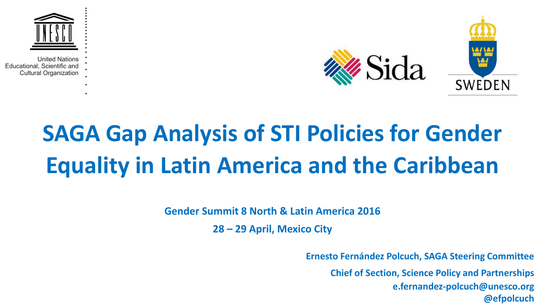



## **SAGA Gap Analysis of STI Policies for Gender Equality in Latin America and the Caribbean**

**Gender Summit 8 North & Latin America 2016**

**28 – 29 April, Mexico City**

**Ernesto Fernández Polcuch, SAGA Steering Committee**

**Chief of Section, Science Policy and Partnerships e.fernandez-polcuch@unesco.org @efpolcuch**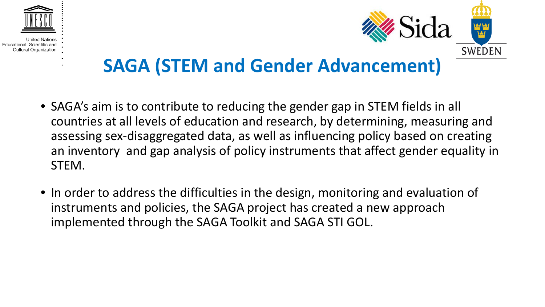





## **SAGA (STEM and Gender Advancement)**

- SAGA's aim is to contribute to reducing the gender gap in STEM fields in all countries at all levels of education and research, by determining, measuring and assessing sex-disaggregated data, as well as influencing policy based on creating an inventory and gap analysis of policy instruments that affect gender equality in STEM.
- In order to address the difficulties in the design, monitoring and evaluation of instruments and policies, the SAGA project has created a new approach implemented through the SAGA Toolkit and SAGA STI GOL.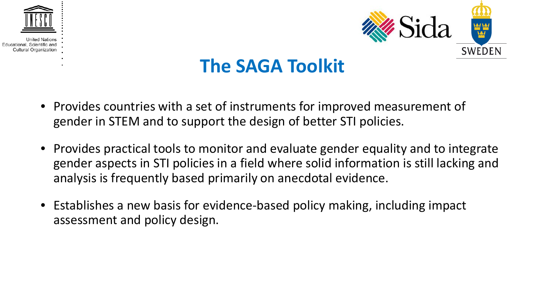



### **The SAGA Toolkit**

- Provides countries with a set of instruments for improved measurement of gender in STEM and to support the design of better STI policies.
- Provides practical tools to monitor and evaluate gender equality and to integrate gender aspects in STI policies in a field where solid information is still lacking and analysis is frequently based primarily on anecdotal evidence.
- Establishes a new basis for evidence-based policy making, including impact assessment and policy design.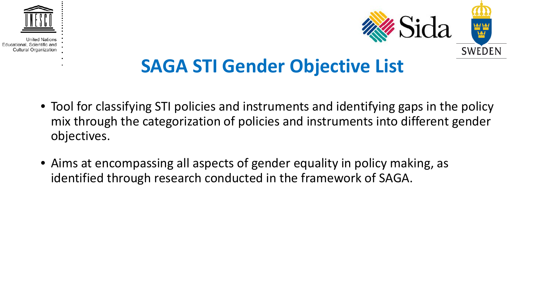



### **SAGA STI Gender Objective List**

- Tool for classifying STI policies and instruments and identifying gaps in the policy mix through the categorization of policies and instruments into different gender objectives.
- Aims at encompassing all aspects of gender equality in policy making, as identified through research conducted in the framework of SAGA.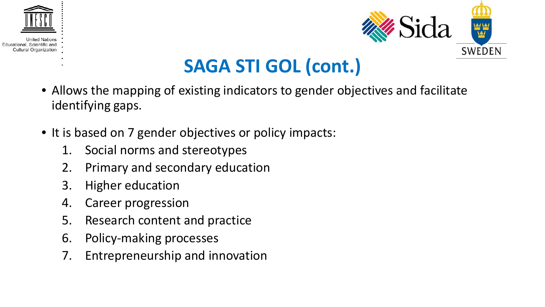



## **SAGA STI GOL (cont.)**

- Allows the mapping of existing indicators to gender objectives and facilitate identifying gaps.
- It is based on 7 gender objectives or policy impacts:
	- 1. Social norms and stereotypes
	- 2. Primary and secondary education
	- 3. Higher education
	- 4. Career progression
	- 5. Research content and practice
	- 6. Policy-making processes
	- 7. Entrepreneurship and innovation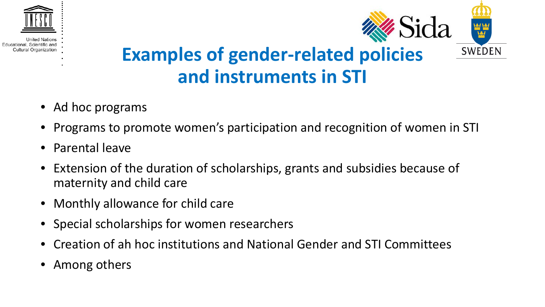

Educational, Scien Cultural Organization



## **Examples of gender-related policies and instruments in STI**

- Ad hoc programs
- Programs to promote women's participation and recognition of women in STI
- Parental leave
- Extension of the duration of scholarships, grants and subsidies because of maternity and child care
- Monthly allowance for child care
- Special scholarships for women researchers
- Creation of ah hoc institutions and National Gender and STI Committees
- Among others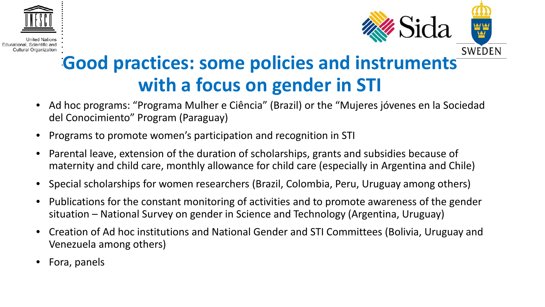



## **Good practices: some policies and instruments with a focus on gender in STI**

- Ad hoc programs: "Programa Mulher e Ciência" (Brazil) or the "Mujeres jóvenes en la Sociedad del Conocimiento" Program (Paraguay)
- Programs to promote women's participation and recognition in STI
- Parental leave, extension of the duration of scholarships, grants and subsidies because of maternity and child care, monthly allowance for child care (especially in Argentina and Chile)
- Special scholarships for women researchers (Brazil, Colombia, Peru, Uruguay among others)
- Publications for the constant monitoring of activities and to promote awareness of the gender situation – National Survey on gender in Science and Technology (Argentina, Uruguay)
- Creation of Ad hoc institutions and National Gender and STI Committees (Bolivia, Uruguay and Venezuela among others)
- Fora, panels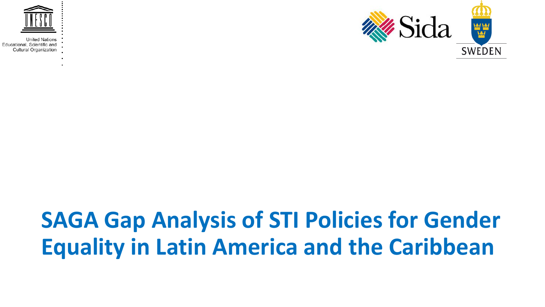



## **SAGA Gap Analysis of STI Policies for Gender Equality in Latin America and the Caribbean**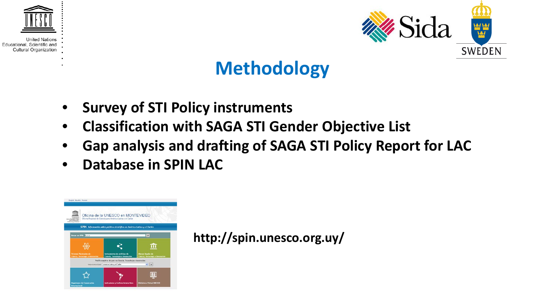



### **Methodology**

- **Survey of STI Policy instruments**
- **Classification with SAGA STI Gender Objective List**
- **Gap analysis and drafting of SAGA STI Policy Report for LAC**
- **Database in SPIN LAC**



**http://spin.unesco.org.uy/**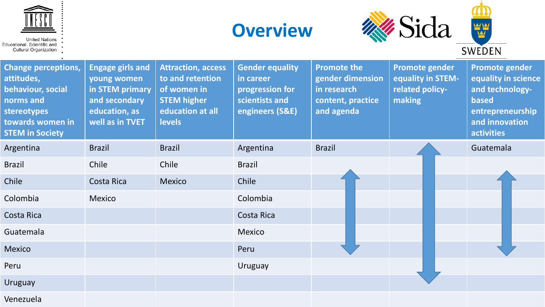







| <b>Change perceptions,</b><br>attitudes,<br>behaviour, social<br>norms and<br>stereotypes<br>towards women in<br><b>STEM in Society</b> | <b>Engage girls and</b><br>young women<br>in STEM primary<br>and secondary<br>education, as<br>well as in TVET | <b>Attraction, access</b><br>to and retention<br>of women in<br><b>STEM higher</b><br>education at all<br><b>levels</b> | <b>Gender equality</b><br>in career<br>progression for<br>scientists and<br>engineers (S&E) | <b>Promote the</b><br>gender dimension<br>in research<br>content, practice<br>and agenda | <b>Promote gender</b><br>equality in STEM-<br>related policy-<br>making | Promote gender<br>equality in science<br>and technology-<br>based<br>entrepreneurship<br>and innovation<br>activities |
|-----------------------------------------------------------------------------------------------------------------------------------------|----------------------------------------------------------------------------------------------------------------|-------------------------------------------------------------------------------------------------------------------------|---------------------------------------------------------------------------------------------|------------------------------------------------------------------------------------------|-------------------------------------------------------------------------|-----------------------------------------------------------------------------------------------------------------------|
| Argentina                                                                                                                               | <b>Brazil</b>                                                                                                  | <b>Brazil</b>                                                                                                           | Argentina                                                                                   | <b>Brazil</b>                                                                            |                                                                         | Guatemala                                                                                                             |
| <b>Brazil</b>                                                                                                                           | Chile                                                                                                          | Chile                                                                                                                   | <b>Brazil</b>                                                                               |                                                                                          |                                                                         |                                                                                                                       |
| Chile                                                                                                                                   | Costa Rica                                                                                                     | <b>Mexico</b>                                                                                                           | Chile                                                                                       |                                                                                          |                                                                         |                                                                                                                       |
| Colombia                                                                                                                                | Mexico                                                                                                         |                                                                                                                         | Colombia                                                                                    |                                                                                          |                                                                         |                                                                                                                       |
| Costa Rica                                                                                                                              |                                                                                                                |                                                                                                                         | Costa Rica                                                                                  |                                                                                          |                                                                         |                                                                                                                       |
| Guatemala                                                                                                                               |                                                                                                                |                                                                                                                         | <b>Mexico</b>                                                                               |                                                                                          |                                                                         |                                                                                                                       |
| <b>Mexico</b>                                                                                                                           |                                                                                                                |                                                                                                                         | Peru                                                                                        |                                                                                          |                                                                         |                                                                                                                       |
| Peru                                                                                                                                    |                                                                                                                |                                                                                                                         | <b>Uruguay</b>                                                                              |                                                                                          |                                                                         |                                                                                                                       |
| <b>Uruguay</b>                                                                                                                          |                                                                                                                |                                                                                                                         |                                                                                             |                                                                                          |                                                                         |                                                                                                                       |
|                                                                                                                                         |                                                                                                                |                                                                                                                         |                                                                                             |                                                                                          |                                                                         |                                                                                                                       |

Venezuela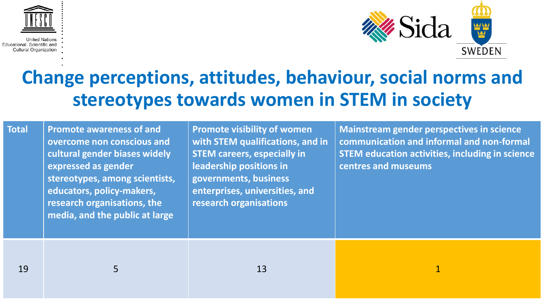



### **Change perceptions, attitudes, behaviour, social norms and stereotypes towards women in STEM in society**

**Total Promote awareness of and overcome non conscious and cultural gender biases widely expressed as gender stereotypes, among scientists, educators, policy-makers, research organisations, the media, and the public at large**

**Promote visibility of women with STEM qualifications, and in STEM careers, especially in leadership positions in governments, business enterprises, universities, and research organisations**

**Mainstream gender perspectives in science communication and informal and non-formal STEM education activities, including in science centres and museums**

19 5 13 1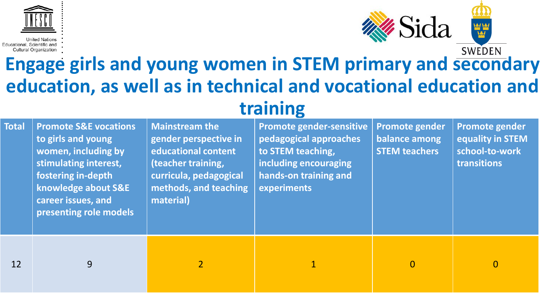![](_page_11_Picture_0.jpeg)

#### **SWEDEN Engage girls and young women in STEM primary and secondary education, as well as in technical and vocational education and training**

| <b>Total</b> | <b>Promote S&amp;E vocations</b><br>to girls and young<br>women, including by<br>stimulating interest,<br>fostering in-depth<br>knowledge about S&E<br>career issues, and<br>presenting role models | <b>Mainstream the</b><br>gender perspective in<br>educational content<br>(teacher training,<br>curricula, pedagogical<br>methods, and teaching<br>material) | Promote gender-sensitive<br>pedagogical approaches<br>to STEM teaching,<br>including encouraging<br>hands-on training and<br><b>experiments</b> | Promote gender<br>balance among<br><b>STEM teachers</b> | <b>Promote gender</b><br>equality in STEM<br>school-to-work<br>transitions |
|--------------|-----------------------------------------------------------------------------------------------------------------------------------------------------------------------------------------------------|-------------------------------------------------------------------------------------------------------------------------------------------------------------|-------------------------------------------------------------------------------------------------------------------------------------------------|---------------------------------------------------------|----------------------------------------------------------------------------|
| 12           | 9                                                                                                                                                                                                   | $\overline{2}$                                                                                                                                              |                                                                                                                                                 | $\overline{0}$                                          | $\overline{0}$                                                             |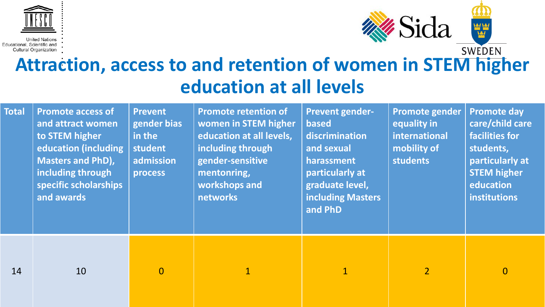![](_page_12_Picture_0.jpeg)

![](_page_12_Picture_2.jpeg)

## **Attraction, access to and retention of women in STEM higher Attraction, access to and retention of women in STEM higher education at all levels**

| <b>Total</b> | <b>Promote access of</b><br>and attract women<br>to STEM higher<br>education (including<br><b>Masters and PhD),</b><br>including through<br>specific scholarships<br>and awards | <b>Prevent</b><br>gender bias<br>in the<br>student<br>admission<br>process | <b>Promote retention of</b><br>women in STEM higher<br>education at all levels,<br>including through<br>gender-sensitive<br>mentonring,<br>workshops and<br>networks | <b>Prevent gender-</b><br><b>based</b><br>discrimination<br>and sexual<br>harassment<br>particularly at<br>graduate level,<br><b>including Masters</b><br>and PhD | Promote gender<br>equality in<br>international<br>mobility of<br>students | <b>Promote day</b><br>care/child care<br>facilities for<br>students,<br>particularly at<br><b>STEM higher</b><br>education<br>institutions |
|--------------|---------------------------------------------------------------------------------------------------------------------------------------------------------------------------------|----------------------------------------------------------------------------|----------------------------------------------------------------------------------------------------------------------------------------------------------------------|-------------------------------------------------------------------------------------------------------------------------------------------------------------------|---------------------------------------------------------------------------|--------------------------------------------------------------------------------------------------------------------------------------------|
| 14           | 10                                                                                                                                                                              | $\overline{0}$                                                             | $\mathbf 1$                                                                                                                                                          | $\overline{1}$                                                                                                                                                    | $\overline{2}$                                                            | $\overline{0}$                                                                                                                             |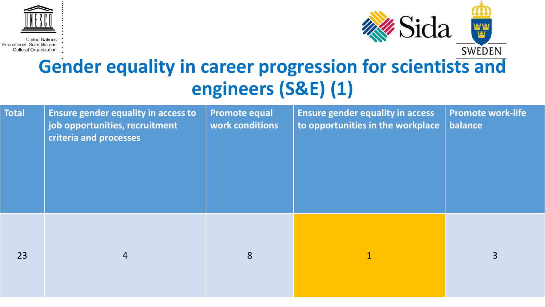![](_page_13_Picture_0.jpeg)

![](_page_13_Picture_2.jpeg)

## **Gender equality in career progression for scientists and engineers (S&E) (1)**

| <b>Total</b> | <b>Ensure gender equality in access to</b><br>job opportunities, recruitment<br>criteria and processes | <b>Promote equal</b><br>work conditions | <b>Ensure gender equality in access</b><br>to opportunities in the workplace | <b>Promote work-life</b><br>balance |
|--------------|--------------------------------------------------------------------------------------------------------|-----------------------------------------|------------------------------------------------------------------------------|-------------------------------------|
| 23           | $\overline{4}$                                                                                         | 8                                       | $\mathbf{1}$                                                                 | $\overline{3}$                      |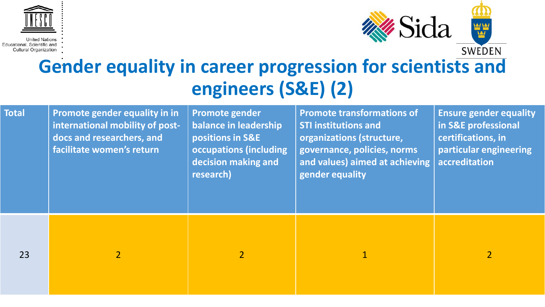![](_page_14_Picture_0.jpeg)

![](_page_14_Picture_2.jpeg)

## **Gender equality in career progression for scientists and engineers (S&E) (2)**

| <b>Total</b> | Promote gender equality in in<br>international mobility of post-<br>docs and researchers, and<br>facilitate women's return | Promote gender<br>balance in leadership<br>positions in S&E<br>occupations (including<br>decision making and<br>research) | <b>Promote transformations of</b><br><b>STI institutions and</b><br>organizations (structure,<br>governance, policies, norms<br>and values) aimed at achieving<br>gender equality | <b>Ensure gender equality</b><br>in S&E professional<br>certifications, in<br>particular engineering<br>accreditation |
|--------------|----------------------------------------------------------------------------------------------------------------------------|---------------------------------------------------------------------------------------------------------------------------|-----------------------------------------------------------------------------------------------------------------------------------------------------------------------------------|-----------------------------------------------------------------------------------------------------------------------|
| 23           |                                                                                                                            |                                                                                                                           |                                                                                                                                                                                   | $\overline{2}$                                                                                                        |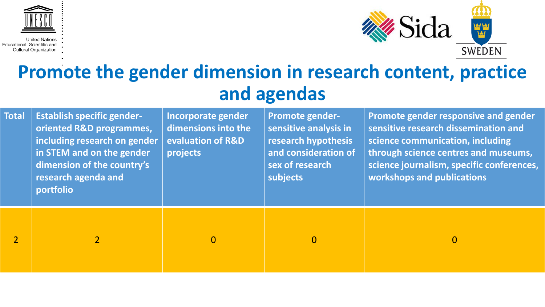![](_page_15_Picture_0.jpeg)

![](_page_15_Picture_2.jpeg)

### **Promote the gender dimension in research content, practice and agendas**

| <b>Total</b>   | <b>Establish specific gender-</b><br>oriented R&D programmes,<br>including research on gender<br>in STEM and on the gender<br>dimension of the country's<br>research agenda and<br>portfolio | Incorporate gender<br>dimensions into the<br>evaluation of R&D<br>projects | <b>Promote gender-</b><br>sensitive analysis in<br>research hypothesis<br>and consideration of<br>sex of research<br>subjects | Promote gender responsive and gender<br>sensitive research dissemination and<br>science communication, including<br>through science centres and museums,<br>science journalism, specific conferences,<br>workshops and publications |
|----------------|----------------------------------------------------------------------------------------------------------------------------------------------------------------------------------------------|----------------------------------------------------------------------------|-------------------------------------------------------------------------------------------------------------------------------|-------------------------------------------------------------------------------------------------------------------------------------------------------------------------------------------------------------------------------------|
| $\overline{2}$ |                                                                                                                                                                                              | $\Omega$                                                                   | $\overline{0}$                                                                                                                | $\overline{0}$                                                                                                                                                                                                                      |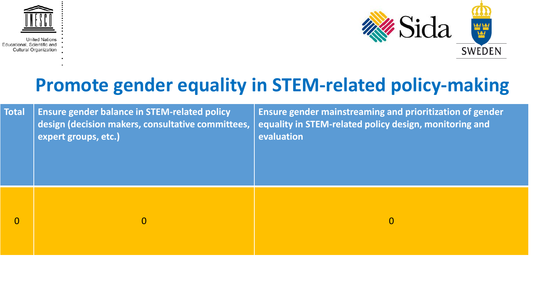![](_page_16_Picture_0.jpeg)

![](_page_16_Picture_2.jpeg)

## **Promote gender equality in STEM-related policy-making**

| <b>Total</b>   | <b>Ensure gender balance in STEM-related policy</b><br>design (decision makers, consultative committees,<br>expert groups, etc.) | Ensure gender mainstreaming and prioritization of gender<br>equality in STEM-related policy design, monitoring and<br>evaluation |
|----------------|----------------------------------------------------------------------------------------------------------------------------------|----------------------------------------------------------------------------------------------------------------------------------|
| $\overline{0}$ | $\mathbf{0}$                                                                                                                     | $\mathbf{0}$                                                                                                                     |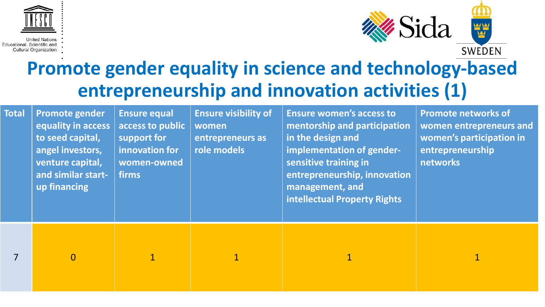![](_page_17_Picture_0.jpeg)

![](_page_17_Picture_2.jpeg)

## **Promote gender equality in science and technology-based entrepreneurship and innovation activities (1)**

| <b>Total</b> | Promote gender<br>equality in access<br>to seed capital,<br>angel investors,<br>venture capital,<br>and similar start-<br>up financing | <b>Ensure equal</b><br>access to public<br>support for<br>innovation for<br>women-owned<br>firms | <b>Ensure visibility of</b><br>women<br>entrepreneurs as<br>role models | <b>Ensure women's access to</b><br>mentorship and participation<br>in the design and<br>implementation of gender-<br>sensitive training in<br>entrepreneurship, innovation<br>management, and<br>intellectual Property Rights | <b>Promote networks of</b><br>women entrepreneurs and<br>women's participation in<br>entrepreneurship<br>networks |
|--------------|----------------------------------------------------------------------------------------------------------------------------------------|--------------------------------------------------------------------------------------------------|-------------------------------------------------------------------------|-------------------------------------------------------------------------------------------------------------------------------------------------------------------------------------------------------------------------------|-------------------------------------------------------------------------------------------------------------------|
|              | $\overline{0}$                                                                                                                         | $\mathbf{1}$                                                                                     | $\overline{1}$                                                          | $\overline{1}$                                                                                                                                                                                                                |                                                                                                                   |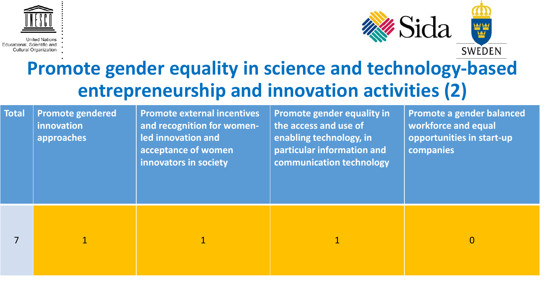![](_page_18_Picture_0.jpeg)

![](_page_18_Picture_2.jpeg)

## **Promote gender equality in science and technology-based entrepreneurship and innovation activities (2)**

| <b>Total</b> | <b>Promote gendered</b><br>innovation<br>approaches | <b>Promote external incentives</b><br>and recognition for women-<br>led innovation and<br>acceptance of women<br>innovators in society | <b>Promote gender equality in</b><br>the access and use of<br>enabling technology, in<br>particular information and<br>communication technology | Promote a gender balanced<br>workforce and equal<br>opportunities in start-up<br>companies |
|--------------|-----------------------------------------------------|----------------------------------------------------------------------------------------------------------------------------------------|-------------------------------------------------------------------------------------------------------------------------------------------------|--------------------------------------------------------------------------------------------|
|              |                                                     |                                                                                                                                        |                                                                                                                                                 | $\mathbf{0}$                                                                               |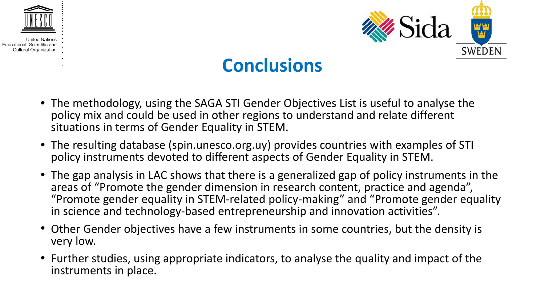![](_page_19_Picture_0.jpeg)

![](_page_19_Picture_2.jpeg)

### **Conclusions**

- The methodology, using the SAGA STI Gender Objectives List is useful to analyse the policy mix and could be used in other regions to understand and relate different situations in terms of Gender Equality in STEM.
- The resulting database (spin.unesco.org.uy) provides countries with examples of STI policy instruments devoted to different aspects of Gender Equality in STEM.
- The gap analysis in LAC shows that there is a generalized gap of policy instruments in the areas of "Promote the gender dimension in research content, practice and agenda", "Promote gender equality in STEM-related policy-making" and "Promote gender equality in science and technology-based entrepreneurship and innovation activities".
- Other Gender objectives have a few instruments in some countries, but the density is very low.
- Further studies, using appropriate indicators, to analyse the quality and impact of the instruments in place.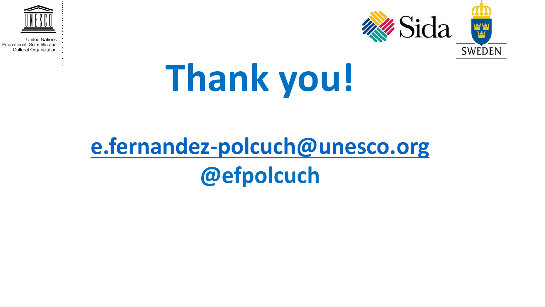![](_page_20_Picture_0.jpeg)

![](_page_20_Picture_2.jpeg)

# **Thank you!**

## **[e.fernandez-polcuch@unesco.org](mailto:e.fernandez-polcuch@unesco.org) @efpolcuch**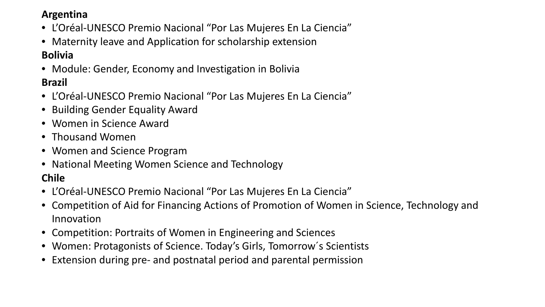#### **Argentina**

- L'Oréal-UNESCO Premio Nacional "Por Las Mujeres En La Ciencia"
- Maternity leave and Application for scholarship extension

#### **Bolivia**

- Module: Gender, Economy and Investigation in Bolivia **Brazil**
- L'Oréal-UNESCO Premio Nacional "Por Las Mujeres En La Ciencia"
- Building Gender Equality Award
- Women in Science Award
- Thousand Women
- Women and Science Program
- National Meeting Women Science and Technology

#### **Chile**

- L'Oréal-UNESCO Premio Nacional "Por Las Mujeres En La Ciencia"
- Competition of Aid for Financing Actions of Promotion of Women in Science, Technology and Innovation
- Competition: Portraits of Women in Engineering and Sciences
- Women: Protagonists of Science. Today's Girls, Tomorrow's Scientists
- Extension during pre- and postnatal period and parental permission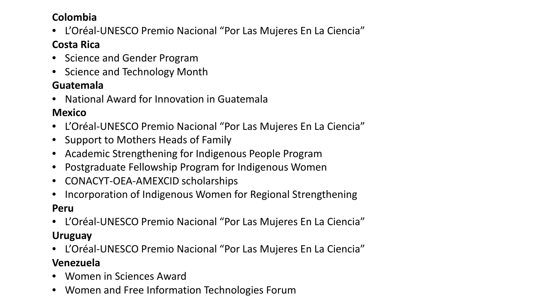#### **Colombia**

• L'Oréal-UNESCO Premio Nacional "Por Las Mujeres En La Ciencia"

#### **Costa Rica**

- Science and Gender Program
- Science and Technology Month

#### **Guatemala**

• National Award for Innovation in Guatemala

#### **Mexico**

- L'Oréal-UNESCO Premio Nacional "Por Las Mujeres En La Ciencia"
- Support to Mothers Heads of Family
- Academic Strengthening for Indigenous People Program
- Postgraduate Fellowship Program for Indigenous Women
- CONACYT-OEA-AMEXCID scholarships
- Incorporation of Indigenous Women for Regional Strengthening

#### **Peru**

- L'Oréal-UNESCO Premio Nacional "Por Las Mujeres En La Ciencia" **Uruguay**
- L'Oréal-UNESCO Premio Nacional "Por Las Mujeres En La Ciencia"

#### **Venezuela**

- Women in Sciences Award
- Women and Free Information Technologies Forum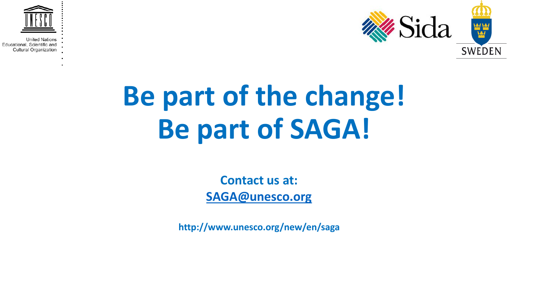![](_page_23_Picture_0.jpeg)

![](_page_23_Picture_2.jpeg)

## **Be part of the change! Be part of SAGA!**

**Contact us at: [SAGA@unesco.org](mailto:SAGA@unesco.org)**

**http://www.unesco.org/new/en/saga**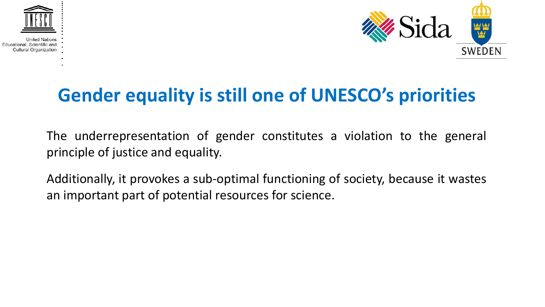![](_page_24_Picture_0.jpeg)

![](_page_24_Picture_2.jpeg)

## **Gender equality is still one of UNESCO's priorities**

The underrepresentation of gender constitutes a violation to the general principle of justice and equality.

Additionally, it provokes a sub-optimal functioning of society, because it wastes an important part of potential resources for science.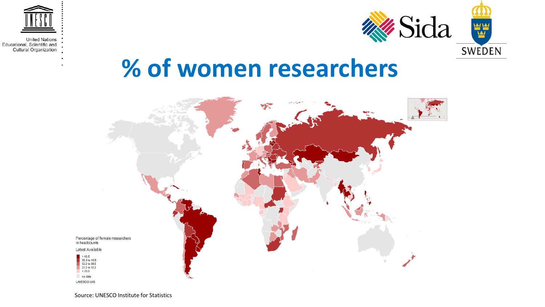![](_page_25_Picture_0.jpeg)

![](_page_25_Picture_2.jpeg)

## **% of women researchers**

![](_page_25_Figure_4.jpeg)

Source: UNESCO Institute for Statistics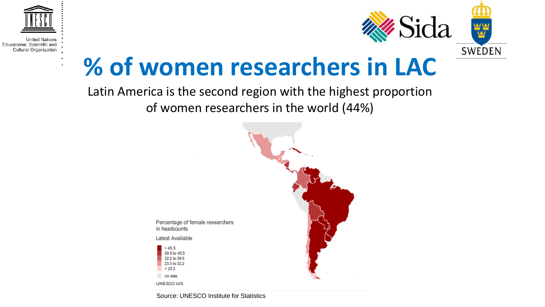![](_page_26_Picture_0.jpeg)

#### Latin America is the second region with the highest proportion of women researchers in the world (44%)

![](_page_26_Figure_2.jpeg)

Source: UNESCO Institute for Statistics

 $>45.5$ 

 $< 23.3$ no data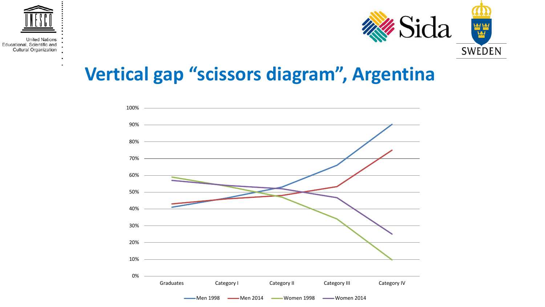![](_page_27_Picture_0.jpeg)

![](_page_27_Picture_2.jpeg)

### **Vertical gap "scissors diagram", Argentina**

![](_page_27_Figure_4.jpeg)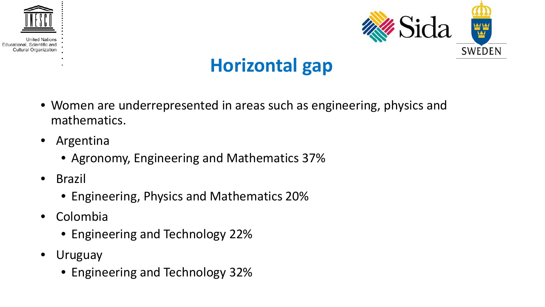![](_page_28_Picture_0.jpeg)

![](_page_28_Picture_2.jpeg)

## **Horizontal gap**

- Women are underrepresented in areas such as engineering, physics and mathematics.
- Argentina
	- Agronomy, Engineering and Mathematics 37%
- Brazil
	- Engineering, Physics and Mathematics 20%
- Colombia
	- Engineering and Technology 22%
- Uruguay
	- Engineering and Technology 32%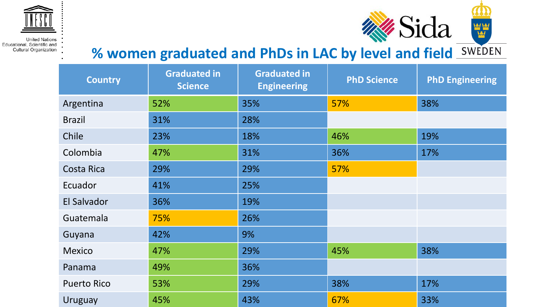![](_page_29_Picture_0.jpeg)

## **% women graduated and PhDs in LAC by level and field**

**Why Sida** 

**VALVAL** 

| <b>Country</b>     | <b>Graduated in</b><br><b>Science</b> | <b>Graduated in</b><br><b>Engineering</b> | <b>PhD Science</b> | <b>PhD Engineering</b> |
|--------------------|---------------------------------------|-------------------------------------------|--------------------|------------------------|
| Argentina          | 52%                                   | 35%                                       | 57%                | 38%                    |
| <b>Brazil</b>      | 31%                                   | 28%                                       |                    |                        |
| Chile              | 23%                                   | 18%                                       | 46%                | 19%                    |
| Colombia           | 47%                                   | 31%                                       | 36%                | 17%                    |
| <b>Costa Rica</b>  | 29%                                   | 29%                                       | 57%                |                        |
| Ecuador            | 41%                                   | 25%                                       |                    |                        |
| El Salvador        | 36%                                   | 19%                                       |                    |                        |
| Guatemala          | 75%                                   | 26%                                       |                    |                        |
| Guyana             | 42%                                   | 9%                                        |                    |                        |
| <b>Mexico</b>      | 47%                                   | 29%                                       | 45%                | 38%                    |
| Panama             | 49%                                   | 36%                                       |                    |                        |
| <b>Puerto Rico</b> | 53%                                   | 29%                                       | 38%                | 17%                    |
| <b>Uruguay</b>     | 45%                                   | 43%                                       | 67%                | 33%                    |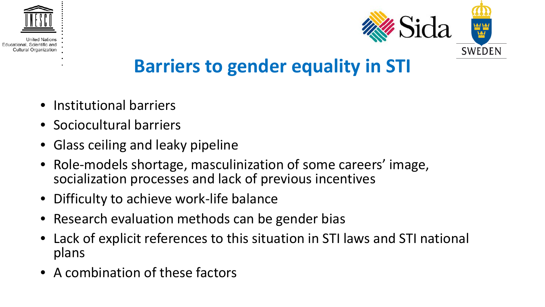![](_page_30_Picture_0.jpeg)

Educational, Scien Cultural Organization

![](_page_30_Picture_2.jpeg)

## **Barriers to gender equality in STI**

- Institutional barriers
- Sociocultural barriers
- Glass ceiling and leaky pipeline
- Role-models shortage, masculinization of some careers' image, socialization processes and lack of previous incentives
- Difficulty to achieve work-life balance
- Research evaluation methods can be gender bias
- Lack of explicit references to this situation in STI laws and STI national plans
- A combination of these factors